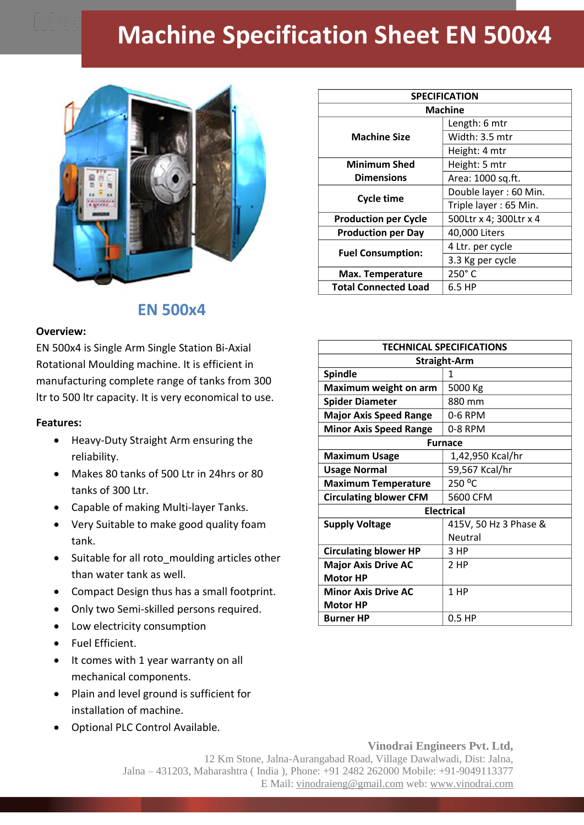## **Machine Specification Sheet EN 500x4**



## **EN 500x4**

## **Overview:**

EN 500x4 is Single Arm Single Station Bi-Axial Rotational Moulding machine. It is efficient in manufacturing complete range of tanks from 300 ltr to 500 ltr capacity. It is very economical to use.

## **Features:**

- Heavy-Duty Straight Arm ensuring the reliability.
- Makes 80 tanks of 500 Ltr in 24hrs or 80 tanks of 300 Ltr.
- Capable of making Multi-layer Tanks.
- Very Suitable to make good quality foam tank.
- Suitable for all roto moulding articles other than water tank as well.
- Compact Design thus has a small footprint.
- Only two Semi-skilled persons required.
- Low electricity consumption
- Fuel Efficient.
- It comes with 1 year warranty on all mechanical components.
- Plain and level ground is sufficient for installation of machine.
- Optional PLC Control Available.

| <b>SPECIFICATION</b>        |                        |
|-----------------------------|------------------------|
| <b>Machine</b>              |                        |
| <b>Machine Size</b>         | Length: 6 mtr          |
|                             | Width: 3.5 mtr         |
|                             | Height: 4 mtr          |
| <b>Minimum Shed</b>         | Height: 5 mtr          |
| <b>Dimensions</b>           | Area: 1000 sq.ft.      |
| <b>Cycle time</b>           | Double layer: 60 Min.  |
|                             | Triple layer: 65 Min.  |
| <b>Production per Cycle</b> | 500Ltr x 4; 300Ltr x 4 |
| <b>Production per Day</b>   | 40,000 Liters          |
| <b>Fuel Consumption:</b>    | 4 Ltr. per cycle       |
|                             | 3.3 Kg per cycle       |
| Max. Temperature            | 250°C                  |
| <b>Total Connected Load</b> | 6.5 HP                 |

| <b>TECHNICAL SPECIFICATIONS</b> |                       |
|---------------------------------|-----------------------|
| <b>Straight-Arm</b>             |                       |
| <b>Spindle</b>                  | 1                     |
| Maximum weight on arm           | 5000 Kg               |
| <b>Spider Diameter</b>          | 880 mm                |
| <b>Major Axis Speed Range</b>   | 0-6 RPM               |
| <b>Minor Axis Speed Range</b>   | 0-8 RPM               |
| <b>Furnace</b>                  |                       |
| <b>Maximum Usage</b>            | 1,42,950 Kcal/hr      |
| <b>Usage Normal</b>             | 59,567 Kcal/hr        |
| <b>Maximum Temperature</b>      | 250 °C                |
| <b>Circulating blower CFM</b>   | 5600 CFM              |
| <b>Electrical</b>               |                       |
| <b>Supply Voltage</b>           | 415V, 50 Hz 3 Phase & |
|                                 | Neutral               |
| <b>Circulating blower HP</b>    | 3 HP                  |
| <b>Major Axis Drive AC</b>      | 2 HP                  |
| <b>Motor HP</b>                 |                       |
| <b>Minor Axis Drive AC</b>      | 1 HP                  |
| <b>Motor HP</b>                 |                       |
| Burner HP                       | $0.5$ HP              |

**Vinodrai Engineers Pvt. Ltd,** 12 Km Stone, Jalna-Aurangabad Road, Village Dawalwadi, Dist: Jalna, Jalna – 431203, Maharashtra ( India ), Phone: +91 2482 262000 Mobile: +91-9049113377 E Mail: vinodraieng@gmail.com web: www.vinodrai.com